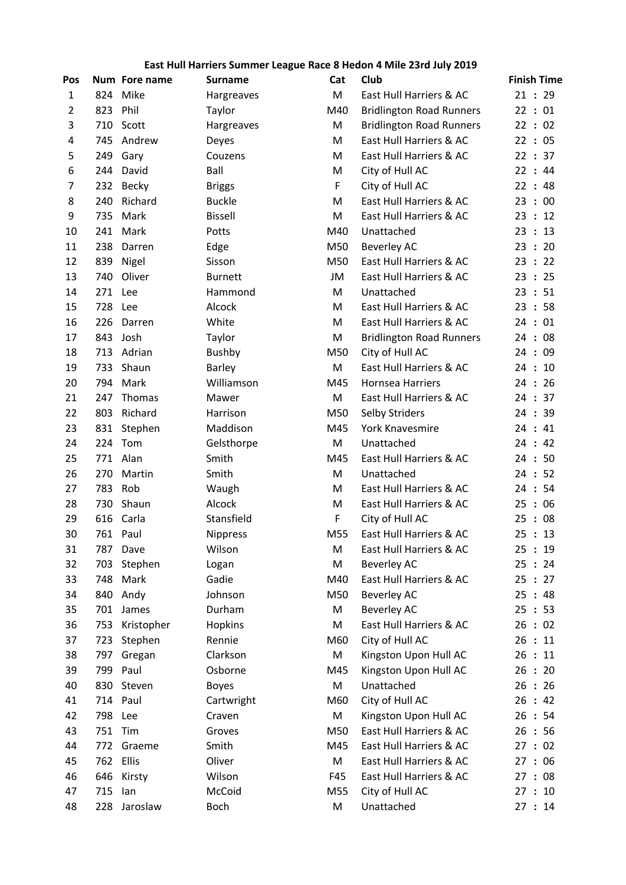## East Hull Harriers Summer League Race 8 Hedon 4 Mile 23rd July 2019

| Pos            |          | Num Fore name | <b>Surname</b>  | Cat | <b>Club</b>                     | <b>Finish Time</b>    |
|----------------|----------|---------------|-----------------|-----|---------------------------------|-----------------------|
| $\mathbf{1}$   | 824      | Mike          | Hargreaves      | M   | East Hull Harriers & AC         | 21:29                 |
| $\overline{2}$ | 823      | Phil          | Taylor          | M40 | <b>Bridlington Road Runners</b> | 22:01                 |
| 3              | 710      | Scott         | Hargreaves      | M   | <b>Bridlington Road Runners</b> | 22:02                 |
| 4              | 745      | Andrew        | Deyes           | M   | East Hull Harriers & AC         | 22:05                 |
| 5              | 249      | Gary          | Couzens         | М   | East Hull Harriers & AC         | 22 : 37               |
| 6              | 244      | David         | Ball            | М   | City of Hull AC                 | 22:44                 |
| 7              | 232      | <b>Becky</b>  | <b>Briggs</b>   | F   | City of Hull AC                 | 22:48                 |
| 8              | 240      | Richard       | <b>Buckle</b>   | M   | East Hull Harriers & AC         | : 00<br>23            |
| 9              | 735      | Mark          | <b>Bissell</b>  | M   | East Hull Harriers & AC         | $\therefore$ 12<br>23 |
| 10             | 241      | Mark          | Potts           | M40 | Unattached                      | 23:13                 |
| 11             | 238      | Darren        | Edge            | M50 | <b>Beverley AC</b>              | 23:20                 |
| 12             | 839      | Nigel         | Sisson          | M50 | East Hull Harriers & AC         | 23<br>: 22            |
| 13             | 740      | Oliver        | <b>Burnett</b>  | JM  | East Hull Harriers & AC         | 23:25                 |
| 14             | 271      | Lee           | Hammond         | M   | Unattached                      | 23:51                 |
| 15             | 728      | Lee           | Alcock          | М   | East Hull Harriers & AC         | 23:58                 |
| 16             | 226      | Darren        | White           | М   | East Hull Harriers & AC         | 24:01                 |
| 17             | 843      | Josh          | Taylor          | M   | <b>Bridlington Road Runners</b> | 24:08                 |
| 18             | 713      | Adrian        | Bushby          | M50 | City of Hull AC                 | : 09<br>24            |
| 19             | 733      | Shaun         | <b>Barley</b>   | M   | East Hull Harriers & AC         | : 10<br>24            |
| 20             | 794      | Mark          | Williamson      | M45 | <b>Hornsea Harriers</b>         | 24:26                 |
| 21             | 247      | Thomas        | Mawer           | M   | East Hull Harriers & AC         | 24:37                 |
| 22             | 803      | Richard       | Harrison        | M50 | <b>Selby Striders</b>           | 24:39                 |
| 23             | 831      | Stephen       | Maddison        | M45 | York Knavesmire                 | : 41<br>24            |
| 24             | 224      | Tom           | Gelsthorpe      | M   | Unattached                      | 24:42                 |
| 25             | 771      | Alan          | Smith           | M45 | East Hull Harriers & AC         | $\therefore$ 50<br>24 |
| 26             | 270      | Martin        | Smith           | M   | Unattached                      | 24:52                 |
| 27             | 783      | Rob           | Waugh           | M   | East Hull Harriers & AC         | 24:54                 |
| 28             | 730      | Shaun         | Alcock          | M   | East Hull Harriers & AC         | : 06<br>25            |
| 29             | 616      | Carla         | Stansfield      | F   | City of Hull AC                 | : 08<br>25            |
| 30             | 761 Paul |               | <b>Nippress</b> | M55 | East Hull Harriers & AC         | 25:13                 |
| 31             | 787      | Dave          | Wilson          | M   | East Hull Harriers & AC         | 25:19                 |
| 32             | 703      | Stephen       | Logan           | M   | <b>Beverley AC</b>              | 25:24                 |
| 33             | 748      | Mark          | Gadie           | M40 | East Hull Harriers & AC         | 25<br>: 27            |
| 34             | 840      | Andy          | Johnson         | M50 | <b>Beverley AC</b>              | 25<br>:48             |
| 35             | 701      | James         | Durham          | M   | <b>Beverley AC</b>              | 25<br>: 53            |
| 36             | 753      | Kristopher    | Hopkins         | M   | East Hull Harriers & AC         | 26<br>: 02            |
| 37             | 723      | Stephen       | Rennie          | M60 | City of Hull AC                 | 26:11                 |
| 38             | 797      | Gregan        | Clarkson        | M   | Kingston Upon Hull AC           | 26<br>: 11            |
| 39             | 799      | Paul          | Osborne         | M45 | Kingston Upon Hull AC           | : 20<br>26            |
| 40             | 830      | Steven        | <b>Boyes</b>    | M   | Unattached                      | 26:26                 |
| 41             | 714      | Paul          | Cartwright      | M60 | City of Hull AC                 | 26:42                 |
| 42             | 798      | Lee           | Craven          | M   | Kingston Upon Hull AC           | 26:54                 |
| 43             | 751      | Tim           | Groves          | M50 | East Hull Harriers & AC         | 26<br>:56             |
| 44             | 772      | Graeme        | Smith           | M45 | East Hull Harriers & AC         | : 02<br>27            |
| 45             | 762      | Ellis         | Oliver          | M   | East Hull Harriers & AC         | 27:06                 |
| 46             | 646      | Kirsty        | Wilson          | F45 | East Hull Harriers & AC         | 27:08                 |
| 47             | 715      | lan           | McCoid          | M55 | City of Hull AC                 | 27:10                 |
| 48             | 228      | Jaroslaw      | Boch            | M   | Unattached                      | 27:14                 |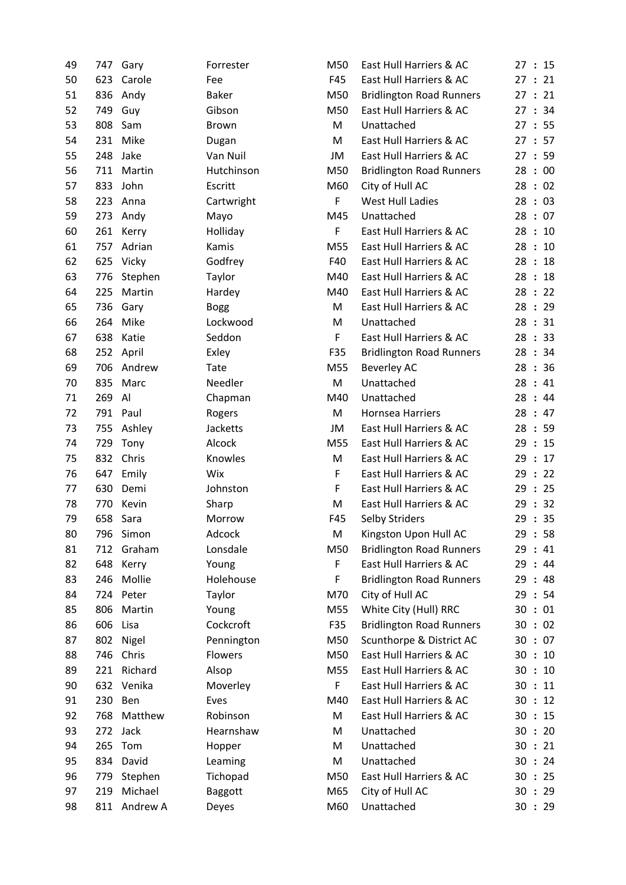| 49 | 747 | Gary       | Forrester      | M50 | East Hull Harriers & AC         | 27 |
|----|-----|------------|----------------|-----|---------------------------------|----|
| 50 | 623 | Carole     | Fee            | F45 | East Hull Harriers & AC         | 27 |
| 51 | 836 | Andy       | <b>Baker</b>   | M50 | <b>Bridlington Road Runners</b> | 27 |
| 52 | 749 | Guy        | Gibson         | M50 | East Hull Harriers & AC         | 27 |
| 53 | 808 | Sam        | Brown          | M   | Unattached                      | 27 |
| 54 | 231 | Mike       | Dugan          | M   | East Hull Harriers & AC         | 27 |
| 55 | 248 | Jake       | Van Nuil       | JM  | East Hull Harriers & AC         | 27 |
| 56 | 711 | Martin     | Hutchinson     | M50 | <b>Bridlington Road Runners</b> | 28 |
| 57 | 833 | John       | Escritt        | M60 | City of Hull AC                 | 28 |
| 58 | 223 | Anna       | Cartwright     | F   | West Hull Ladies                | 28 |
| 59 | 273 | Andy       | Mayo           | M45 | Unattached                      | 28 |
| 60 | 261 | Kerry      | Holliday       | F   | East Hull Harriers & AC         | 28 |
| 61 | 757 | Adrian     | Kamis          | M55 | East Hull Harriers & AC         | 28 |
| 62 | 625 | Vicky      | Godfrey        | F40 | East Hull Harriers & AC         | 28 |
| 63 | 776 | Stephen    | Taylor         | M40 | East Hull Harriers & AC         | 28 |
| 64 | 225 | Martin     | Hardey         | M40 | East Hull Harriers & AC         | 28 |
| 65 | 736 | Gary       | <b>Bogg</b>    | M   | East Hull Harriers & AC         | 28 |
| 66 | 264 | Mike       | Lockwood       | M   | Unattached                      | 28 |
| 67 | 638 | Katie      | Seddon         | F   | East Hull Harriers & AC         | 28 |
| 68 | 252 | April      | Exley          | F35 | <b>Bridlington Road Runners</b> | 28 |
| 69 | 706 | Andrew     | Tate           | M55 | <b>Beverley AC</b>              | 28 |
| 70 | 835 | Marc       | Needler        | M   | Unattached                      | 28 |
| 71 | 269 | Al         | Chapman        | M40 | Unattached                      | 28 |
| 72 | 791 | Paul       | Rogers         | M   | <b>Hornsea Harriers</b>         | 28 |
| 73 | 755 | Ashley     | Jacketts       | JM  | East Hull Harriers & AC         | 28 |
| 74 | 729 | Tony       | Alcock         | M55 | East Hull Harriers & AC         | 29 |
| 75 | 832 | Chris      | Knowles        | M   | East Hull Harriers & AC         | 29 |
| 76 | 647 | Emily      | Wix            | F   | East Hull Harriers & AC         | 29 |
| 77 | 630 | Demi       | Johnston       | F   | East Hull Harriers & AC         | 29 |
| 78 | 770 | Kevin      | Sharp          | M   | East Hull Harriers & AC         | 29 |
| 79 |     | 658 Sara   | Morrow         | F45 | Selby Striders                  | 29 |
| 80 |     | 796 Simon  | Adcock         | M   | Kingston Upon Hull AC           | 29 |
| 81 | 712 | Graham     | Lonsdale       | M50 | <b>Bridlington Road Runners</b> | 29 |
| 82 | 648 | Kerry      | Young          | F   | East Hull Harriers & AC         | 29 |
| 83 | 246 | Mollie     | Holehouse      | F   | <b>Bridlington Road Runners</b> | 29 |
| 84 | 724 | Peter      | Taylor         | M70 | City of Hull AC                 | 29 |
| 85 | 806 | Martin     | Young          | M55 | White City (Hull) RRC           | 30 |
| 86 | 606 | Lisa       | Cockcroft      | F35 | <b>Bridlington Road Runners</b> | 30 |
| 87 | 802 | Nigel      | Pennington     | M50 | Scunthorpe & District AC        | 30 |
| 88 | 746 | Chris      | Flowers        | M50 | East Hull Harriers & AC         | 30 |
| 89 | 221 | Richard    | Alsop          | M55 | East Hull Harriers & AC         | 30 |
| 90 |     | 632 Venika | Moverley       | F   | East Hull Harriers & AC         | 30 |
| 91 | 230 | Ben        | Eves           | M40 | East Hull Harriers & AC         | 30 |
| 92 | 768 | Matthew    | Robinson       | M   | East Hull Harriers & AC         | 30 |
| 93 | 272 | Jack       | Hearnshaw      | M   | Unattached                      | 30 |
| 94 | 265 | Tom        | Hopper         | M   | Unattached                      | 30 |
| 95 | 834 | David      | Leaming        | M   | Unattached                      | 30 |
| 96 | 779 | Stephen    | Tichopad       | M50 | East Hull Harriers & AC         | 30 |
| 97 | 219 | Michael    | <b>Baggott</b> | M65 | City of Hull AC                 | 30 |
| 98 | 811 | Andrew A   | Deyes          | M60 | Unattached                      | 30 |
|    |     |            |                |     |                                 |    |

| 49 | 747 | Gary     | Forrester    | M50 | East Hull Harriers & AC         | 27:15                      |
|----|-----|----------|--------------|-----|---------------------------------|----------------------------|
| 50 | 623 | Carole   | Fee          | F45 | East Hull Harriers & AC         | 27:21                      |
| 51 | 836 | Andy     | <b>Baker</b> | M50 | <b>Bridlington Road Runners</b> | 21<br>27:                  |
| 52 | 749 | Guy      | Gibson       | M50 | East Hull Harriers & AC         | 27:34                      |
| 53 | 808 | Sam      | <b>Brown</b> | M   | Unattached                      | 27:55                      |
| 54 | 231 | Mike     | Dugan        | M   | East Hull Harriers & AC         | 27:57                      |
| 55 | 248 | Jake     | Van Nuil     | JM  | East Hull Harriers & AC         | 27:59                      |
| 56 | 711 | Martin   | Hutchinson   | M50 | <b>Bridlington Road Runners</b> | 28:00                      |
| 57 | 833 | John     | Escritt      | M60 | City of Hull AC                 | 28:02                      |
| 58 | 223 | Anna     | Cartwright   | F   | <b>West Hull Ladies</b>         | 28:03                      |
| 59 | 273 | Andy     | Mayo         | M45 | Unattached                      | 28:07                      |
| 60 | 261 | Kerry    | Holliday     | F   | East Hull Harriers & AC         | 28:<br>10                  |
| 61 | 757 | Adrian   | Kamis        | M55 | East Hull Harriers & AC         | 28:<br>10                  |
| 62 | 625 | Vicky    | Godfrey      | F40 | East Hull Harriers & AC         | 28:18                      |
| 63 | 776 | Stephen  | Taylor       | M40 | East Hull Harriers & AC         | 28:18                      |
| 64 | 225 | Martin   | Hardey       | M40 | East Hull Harriers & AC         | 28:22                      |
| 65 | 736 | Gary     | <b>Bogg</b>  | M   | East Hull Harriers & AC         | 28:29                      |
| 66 | 264 | Mike     | Lockwood     | M   | Unattached                      | 28:31                      |
| 67 | 638 | Katie    | Seddon       | F   | East Hull Harriers & AC         | 28:33                      |
| 68 | 252 | April    | Exley        | F35 | <b>Bridlington Road Runners</b> | 28:34                      |
| 69 | 706 | Andrew   | Tate         | M55 | <b>Beverley AC</b>              | 28:36                      |
| 70 | 835 | Marc     | Needler      | M   | Unattached                      | 28:41                      |
| 71 | 269 | Al       | Chapman      | M40 | Unattached                      | 28:44                      |
| 72 | 791 | Paul     | Rogers       | M   | Hornsea Harriers                | 28:47                      |
| 73 | 755 | Ashley   | Jacketts     | JM  | East Hull Harriers & AC         | 28:59                      |
| 74 | 729 | Tony     | Alcock       | M55 | East Hull Harriers & AC         | 29:15                      |
| 75 | 832 | Chris    | Knowles      | M   | East Hull Harriers & AC         | 29:17                      |
| 76 | 647 | Emily    | Wix          | F   | East Hull Harriers & AC         | 22<br>29:                  |
| 77 | 630 | Demi     | Johnston     | F   | East Hull Harriers & AC         | 29:25                      |
| 78 | 770 | Kevin    | Sharp        | M   | East Hull Harriers & AC         | 32<br>29<br>$\ddot{\cdot}$ |
| 79 | 658 | Sara     | Morrow       | F45 | Selby Striders                  | 29:35                      |
| 80 | 796 | Simon    | Adcock       | M   | Kingston Upon Hull AC           | 29:58                      |
| 81 | 712 | Graham   | Lonsdale     | M50 | <b>Bridlington Road Runners</b> | 29:41                      |
| 82 | 648 | Kerry    | Young        | F   | East Hull Harriers & AC         | 29:<br>-44                 |
| 83 | 246 | Mollie   | Holehouse    | F   | <b>Bridlington Road Runners</b> | 29 : 48                    |
| 84 | 724 | Peter    | Taylor       | M70 | City of Hull AC                 | 29 : 54                    |
| 85 | 806 | Martin   | Young        | M55 | White City (Hull) RRC           | 30:01                      |
| 86 | 606 | Lisa     | Cockcroft    | F35 | <b>Bridlington Road Runners</b> | 30 : 02                    |
| 87 | 802 | Nigel    | Pennington   | M50 | Scunthorpe & District AC        | 30 : 07                    |
| 88 | 746 | Chris    | Flowers      | M50 | East Hull Harriers & AC         | 30:<br>10                  |
| 89 | 221 | Richard  | Alsop        | M55 | East Hull Harriers & AC         | 30:10                      |
| 90 | 632 | Venika   | Moverley     | F   | East Hull Harriers & AC         | 30:11                      |
| 91 | 230 | Ben      | Eves         | M40 | East Hull Harriers & AC         | 30:12                      |
| 92 | 768 | Matthew  | Robinson     | M   | East Hull Harriers & AC         | 15<br>30:                  |
| 93 | 272 | Jack     | Hearnshaw    | M   | Unattached                      | 30:<br>-20                 |
| 94 | 265 | Tom      | Hopper       | M   | Unattached                      | 30:21                      |
| 95 | 834 | David    | Leaming      | M   | Unattached                      | 30 : 24                    |
| 96 | 779 | Stephen  | Tichopad     | M50 | East Hull Harriers & AC         | 30:25                      |
| 97 | 219 | Michael  | Baggott      | M65 | City of Hull AC                 | 30 : 29                    |
| 98 | 811 | Andrew A | Deyes        | M60 | Unattached                      | 30 : 29                    |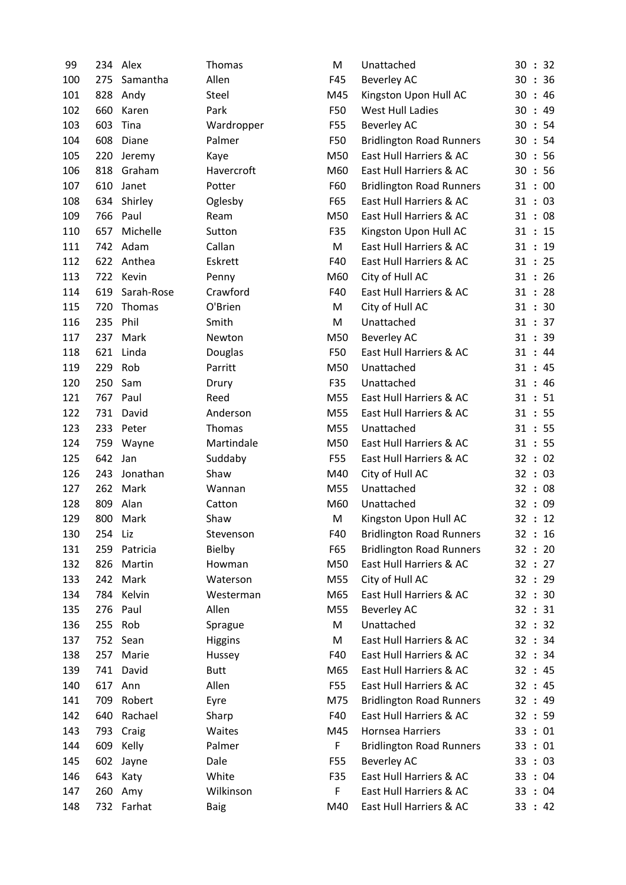| 99  | 234 | Alex       | <b>Thomas</b>  | M   | Unattached                      | 30 : 32 |
|-----|-----|------------|----------------|-----|---------------------------------|---------|
| 100 | 275 | Samantha   | Allen          | F45 | <b>Beverley AC</b>              | 30 : 36 |
| 101 | 828 | Andy       | Steel          | M45 | Kingston Upon Hull AC           | 30:46   |
| 102 | 660 | Karen      | Park           | F50 | <b>West Hull Ladies</b>         | 30:49   |
| 103 | 603 | Tina       | Wardropper     | F55 | <b>Beverley AC</b>              | 30 : 54 |
| 104 | 608 | Diane      | Palmer         | F50 | <b>Bridlington Road Runners</b> | 30 : 54 |
| 105 | 220 | Jeremy     | Kaye           | M50 | East Hull Harriers & AC         | 30 : 56 |
| 106 | 818 | Graham     | Havercroft     | M60 | East Hull Harriers & AC         | 30 : 56 |
| 107 | 610 | Janet      | Potter         | F60 | <b>Bridlington Road Runners</b> | 31:00   |
| 108 | 634 | Shirley    | Oglesby        | F65 | East Hull Harriers & AC         | 31 : 03 |
| 109 | 766 | Paul       | Ream           | M50 | East Hull Harriers & AC         | 31:08   |
| 110 | 657 | Michelle   | Sutton         | F35 | Kingston Upon Hull AC           | 31 : 15 |
| 111 | 742 | Adam       | Callan         | M   | East Hull Harriers & AC         | 31 : 19 |
| 112 | 622 | Anthea     | Eskrett        | F40 | East Hull Harriers & AC         | 31 : 25 |
| 113 |     | 722 Kevin  | Penny          | M60 | City of Hull AC                 | 31 : 26 |
| 114 | 619 | Sarah-Rose | Crawford       | F40 | East Hull Harriers & AC         | 31 : 28 |
| 115 | 720 | Thomas     | O'Brien        | M   | City of Hull AC                 | 31 : 30 |
| 116 | 235 | Phil       | Smith          | M   | Unattached                      | 31 : 37 |
| 117 | 237 | Mark       | Newton         | M50 | <b>Beverley AC</b>              | 31 : 39 |
| 118 | 621 | Linda      | Douglas        | F50 | East Hull Harriers & AC         | 31:44   |
| 119 | 229 | Rob        | Parritt        | M50 | Unattached                      | 31:45   |
| 120 | 250 | Sam        | Drury          | F35 | Unattached                      | 31:46   |
| 121 | 767 | Paul       | Reed           | M55 | East Hull Harriers & AC         | 31 : 51 |
| 122 | 731 | David      | Anderson       | M55 | East Hull Harriers & AC         | 31 : 55 |
| 123 | 233 | Peter      | Thomas         | M55 | Unattached                      | 31 : 55 |
| 124 | 759 | Wayne      | Martindale     | M50 | East Hull Harriers & AC         | 31 : 55 |
| 125 | 642 | Jan        | Suddaby        | F55 | East Hull Harriers & AC         | 32 : 02 |
| 126 | 243 | Jonathan   | Shaw           | M40 | City of Hull AC                 | 32 : 03 |
| 127 | 262 | Mark       | Wannan         | M55 | Unattached                      | 32 : 08 |
| 128 | 809 | Alan       | Catton         | M60 | Unattached                      | 32 : 09 |
| 129 | 800 | Mark       | Shaw           | M   | Kingston Upon Hull AC           | 32 : 12 |
| 130 | 254 | Liz        | Stevenson      | F40 | <b>Bridlington Road Runners</b> | 32:16   |
| 131 | 259 | Patricia   | Bielby         | F65 | <b>Bridlington Road Runners</b> | 32 : 20 |
| 132 | 826 | Martin     | Howman         | M50 | East Hull Harriers & AC         | 32 : 27 |
| 133 | 242 | Mark       | Waterson       | M55 | City of Hull AC                 | 32 : 29 |
| 134 | 784 | Kelvin     | Westerman      | M65 | East Hull Harriers & AC         | 32 : 30 |
| 135 | 276 | Paul       | Allen          | M55 | <b>Beverley AC</b>              | 32 : 31 |
| 136 | 255 | Rob        | Sprague        | M   | Unattached                      | 32 : 32 |
| 137 | 752 | Sean       | <b>Higgins</b> | M   | East Hull Harriers & AC         | 32 : 34 |
| 138 | 257 | Marie      | Hussey         | F40 | East Hull Harriers & AC         | 32 : 34 |
| 139 | 741 | David      | <b>Butt</b>    | M65 | East Hull Harriers & AC         | 32 : 45 |
| 140 | 617 | Ann        | Allen          | F55 | East Hull Harriers & AC         | 32 : 45 |
| 141 | 709 | Robert     | Eyre           | M75 | <b>Bridlington Road Runners</b> | 32 : 49 |
| 142 | 640 | Rachael    | Sharp          | F40 | East Hull Harriers & AC         | 32 : 59 |
| 143 | 793 | Craig      | Waites         | M45 | Hornsea Harriers                | 33:01   |
| 144 | 609 | Kelly      | Palmer         | F   | <b>Bridlington Road Runners</b> | 33:01   |
| 145 | 602 | Jayne      | Dale           | F55 | <b>Beverley AC</b>              | 33 : 03 |
| 146 | 643 | Katy       | White          | F35 | East Hull Harriers & AC         | 33:04   |
| 147 | 260 | Amy        | Wilkinson      | F   | East Hull Harriers & AC         | 33:04   |
| 148 |     | 732 Farhat | <b>Baig</b>    | M40 | East Hull Harriers & AC         | 33 : 42 |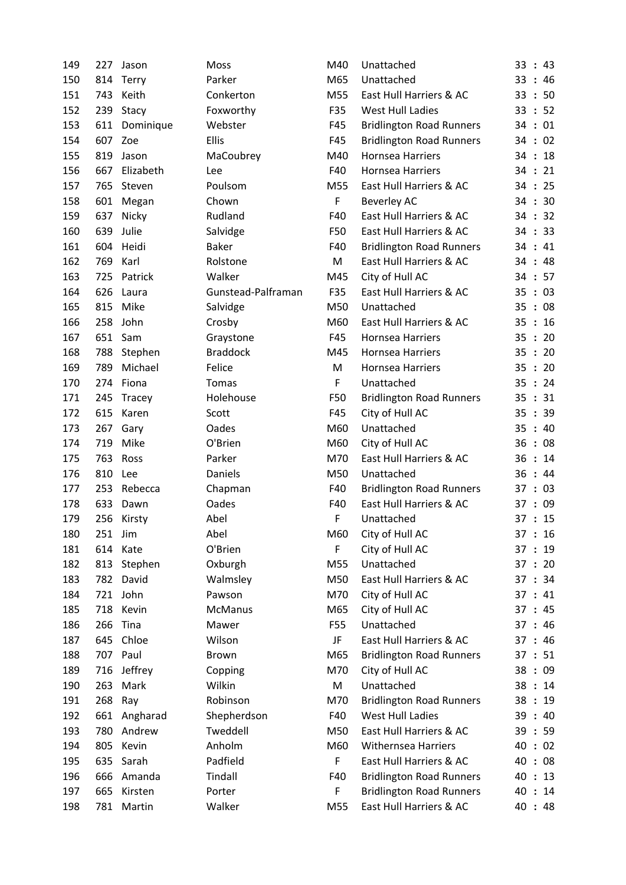| 149 | 227 | Jason        | Moss               | M40 | Unattached                      | 33<br>: 43            |
|-----|-----|--------------|--------------------|-----|---------------------------------|-----------------------|
| 150 | 814 | <b>Terry</b> | Parker             | M65 | Unattached                      | 33<br>:46             |
| 151 | 743 | Keith        | Conkerton          | M55 | East Hull Harriers & AC         | 33<br>:50             |
| 152 | 239 | Stacy        | Foxworthy          | F35 | <b>West Hull Ladies</b>         | : 52<br>33            |
| 153 | 611 | Dominique    | Webster            | F45 | <b>Bridlington Road Runners</b> | 34:01                 |
| 154 | 607 | Zoe          | <b>Ellis</b>       | F45 | <b>Bridlington Road Runners</b> | 34 : 02               |
| 155 | 819 | Jason        | MaCoubrey          | M40 | Hornsea Harriers                | 34:18                 |
| 156 | 667 | Elizabeth    | Lee                | F40 | Hornsea Harriers                | 34:21                 |
| 157 | 765 | Steven       | Poulsom            | M55 | East Hull Harriers & AC         | 34:25                 |
| 158 | 601 | Megan        | Chown              | F   | <b>Beverley AC</b>              | 34:30                 |
| 159 | 637 | Nicky        | Rudland            | F40 | East Hull Harriers & AC         | $\therefore$ 32<br>34 |
| 160 | 639 | Julie        | Salvidge           | F50 | East Hull Harriers & AC         | 34 : 33               |
| 161 | 604 | Heidi        | <b>Baker</b>       | F40 | <b>Bridlington Road Runners</b> | 34:41                 |
| 162 | 769 | Karl         | Rolstone           | M   | East Hull Harriers & AC         | 34 : 48               |
| 163 | 725 | Patrick      | Walker             | M45 | City of Hull AC                 | 34:57                 |
| 164 | 626 | Laura        | Gunstead-Palframan | F35 | East Hull Harriers & AC         | : 03<br>35            |
| 165 | 815 | Mike         | Salvidge           | M50 | Unattached                      | 35<br>$\therefore$ 08 |
| 166 | 258 | John         | Crosby             | M60 | East Hull Harriers & AC         | : 16<br>35            |
| 167 | 651 | Sam          | Graystone          | F45 | Hornsea Harriers                | : 20<br>35            |
| 168 | 788 | Stephen      | <b>Braddock</b>    | M45 | Hornsea Harriers                | : 20<br>35            |
| 169 | 789 | Michael      | Felice             | M   | Hornsea Harriers                | 20<br>35<br>$\cdot$ : |
| 170 | 274 | Fiona        | Tomas              | F   | Unattached                      | 35 : 24               |
| 171 | 245 | Tracey       | Holehouse          | F50 | <b>Bridlington Road Runners</b> | 35 : 31               |
| 172 | 615 | Karen        | Scott              | F45 | City of Hull AC                 | : 39<br>35            |
| 173 | 267 | Gary         | Oades              | M60 | Unattached                      | 40<br>35<br>$\cdot$ : |
| 174 | 719 | Mike         | O'Brien            | M60 | City of Hull AC                 | 36<br>$\therefore$ 08 |
| 175 | 763 | Ross         | Parker             | M70 | East Hull Harriers & AC         | : 14<br>36            |
| 176 | 810 | Lee          | Daniels            | M50 | Unattached                      | 36:44                 |
| 177 | 253 | Rebecca      | Chapman            | F40 | <b>Bridlington Road Runners</b> | 37 : 03               |
| 178 | 633 | Dawn         | Oades              | F40 | East Hull Harriers & AC         | 37 : 09               |
| 179 |     | 256 Kirsty   | Abel               | F   | Unattached                      | 37:15                 |
| 180 | 251 | Jim          | Abel               | M60 | City of Hull AC                 | 37 : 16               |
| 181 | 614 | Kate         | O'Brien            | F   | City of Hull AC                 | 37 : 19               |
| 182 | 813 | Stephen      | Oxburgh            | M55 | Unattached                      | 37:20                 |
| 183 | 782 | David        | Walmsley           | M50 | East Hull Harriers & AC         | 37 : 34               |
| 184 | 721 | John         | Pawson             | M70 | City of Hull AC                 | 37 : 41               |
| 185 | 718 | Kevin        | McManus            | M65 | City of Hull AC                 | 37:45                 |
| 186 | 266 | Tina         | Mawer              | F55 | Unattached                      | : 46<br>37            |
| 187 | 645 | Chloe        | Wilson             | JF  | East Hull Harriers & AC         | 37:46                 |
| 188 | 707 | Paul         | Brown              | M65 | <b>Bridlington Road Runners</b> | 37:51                 |
| 189 | 716 | Jeffrey      | Copping            | M70 | City of Hull AC                 | 38<br>: 09            |
| 190 | 263 | Mark         | Wilkin             | M   | Unattached                      | 38<br>: 14            |
| 191 | 268 | Ray          | Robinson           | M70 | <b>Bridlington Road Runners</b> | 38:19                 |
| 192 | 661 | Angharad     | Shepherdson        | F40 | <b>West Hull Ladies</b>         | 39:40                 |
| 193 | 780 | Andrew       | Tweddell           | M50 | East Hull Harriers & AC         | 39:59                 |
| 194 | 805 | Kevin        | Anholm             | M60 | <b>Withernsea Harriers</b>      | 40<br>: 02            |
| 195 | 635 | Sarah        | Padfield           | F   | East Hull Harriers & AC         | 40<br>: 08            |
| 196 | 666 | Amanda       | Tindall            | F40 | <b>Bridlington Road Runners</b> | 40<br>: 13            |
| 197 | 665 | Kirsten      | Porter             | F   | <b>Bridlington Road Runners</b> | 40:14                 |
| 198 |     | 781 Martin   | Walker             | M55 | East Hull Harriers & AC         | 40 : 48               |
|     |     |              |                    |     |                                 |                       |